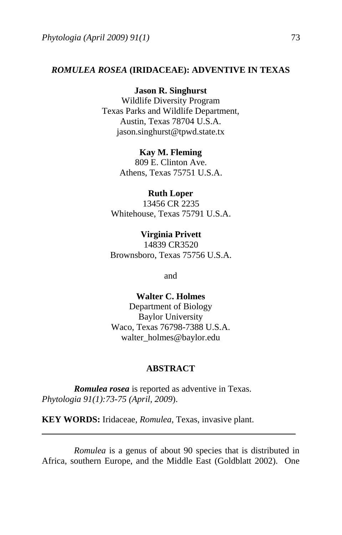### *ROMULEA ROSEA* **(IRIDACEAE): ADVENTIVE IN TEXAS**

### **Jason R. Singhurst**

Wildlife Diversity Program Texas Parks and Wildlife Department, Austin, Texas 78704 U.S.A. jason.singhurst@tpwd.state.tx

#### **Kay M. Fleming**

809 E. Clinton Ave. Athens, Texas 75751 U.S.A.

## **Ruth Loper**

13456 CR 2235 Whitehouse, Texas 75791 U.S.A.

**Virginia Privett**  14839 CR3520 Brownsboro, Texas 75756 U.S.A.

and

# **Walter C. Holmes**  Department of Biology Baylor University Waco, Texas 76798-7388 U.S.A. walter\_holmes@baylor.edu

### **ABSTRACT**

*Romulea rosea* is reported as adventive in Texas. *Phytologia 91(1):73-75 (April, 2009*).

**KEY WORDS:** Iridaceae, *Romulea*, Texas, invasive plant.

*Romulea* is a genus of about 90 species that is distributed in Africa, southern Europe, and the Middle East (Goldblatt 2002). One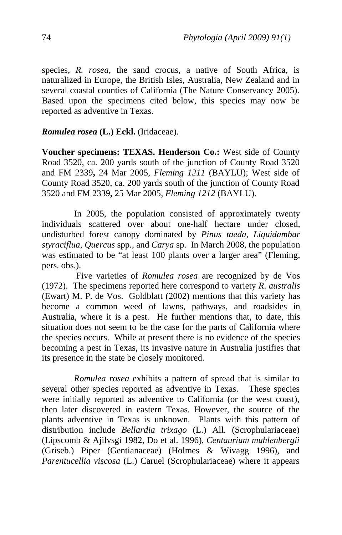species, *R. rosea*, the sand crocus, a native of South Africa, is naturalized in Europe, the British Isles, [Australia](http://www.rbg.vic.gov.au/cgi-bin/avhpublic/avh.cgi?genus=Romulea&species=rosea&Canberra=on&Darwin=on&Tasmania=on&South%20Australia=on&New%20South%20Wales=on&Victoria=on&Western%20Australia=on&Queensland=on&layer1=terrain&layer4=states&layer6=lat/long%20grid), New Zealand and in several coastal counties of California (The Nature Conservancy 2005). Based upon the specimens cited below, this species may now be reported as adventive in Texas.

## *Romulea rosea* **(L.) Eckl.** (Iridaceae).

**Voucher specimens: TEXAS. Henderson Co.:** West side of County Road 3520, ca. 200 yards south of the junction of County Road 3520 and FM 2339**,** 24 Mar 2005, *Fleming 1211* (BAYLU); West side of County Road 3520, ca. 200 yards south of the junction of County Road 3520 and FM 2339**,** 25 Mar 2005, *Fleming 1212* (BAYLU).

 In 2005, the population consisted of approximately twenty individuals scattered over about one-half hectare under closed, undisturbed forest canopy dominated by *Pinus taeda*, *Liquidambar styraciflua*, *Quercus* spp., and *Carya* sp. In March 2008, the population was estimated to be "at least 100 plants over a larger area" (Fleming, pers. obs.).

 Five varieties of *Romulea rosea* are recognized by de Vos (1972). The specimens reported here correspond to variety *R*. *australis* (Ewart) M. P. de Vos. Goldblatt (2002) mentions that this variety has become a common weed of lawns, pathways, and roadsides in Australia, where it is a pest. He further mentions that, to date, this situation does not seem to be the case for the parts of California where the species occurs. While at present there is no evidence of the species becoming a pest in Texas, its invasive nature in Australia justifies that its presence in the state be closely monitored.

*Romulea rosea* exhibits a pattern of spread that is similar to several other species reported as adventive in Texas. These species were initially reported as adventive to California (or the west coast), then later discovered in eastern Texas. However, the source of the plants adventive in Texas is unknown. Plants with this pattern of distribution include *Bellardia trixago* (L.) All. (Scrophulariaceae) (Lipscomb & Ajilvsgi 1982, Do et al. 1996), *Centaurium muhlenbergii* (Griseb.) Piper (Gentianaceae) (Holmes & Wivagg 1996), and *Parentucellia viscosa* (L.) Caruel (Scrophulariaceae) where it appears